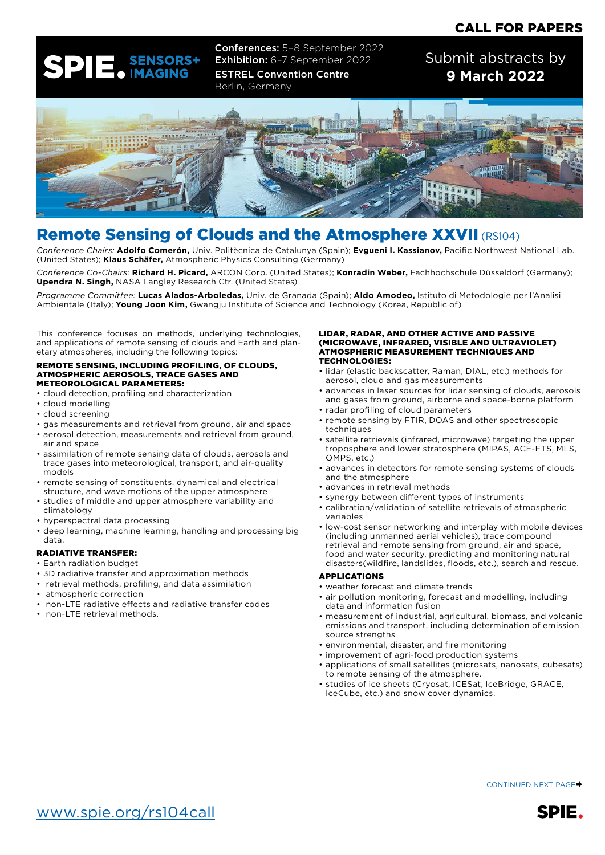## CALL FOR PAPERS



Conferences: 5–8 September 2022 Exhibition: 6-7 September 2022 ESTREL Convention Centre Berlin, Germany

Submit abstracts by **9 March 2022**



## Remote Sensing of Clouds and the Atmosphere XXVII (RS104)

*Conference Chairs:* **Adolfo Comerón,** Univ. Politècnica de Catalunya (Spain); **Evgueni I. Kassianov,** Pacific Northwest National Lab. (United States); **Klaus Schäfer,** Atmospheric Physics Consulting (Germany)

*Conference Co-Chairs:* **Richard H. Picard,** ARCON Corp. (United States); **Konradin Weber,** Fachhochschule Düsseldorf (Germany); **Upendra N. Singh,** NASA Langley Research Ctr. (United States)

*Programme Committee:* **Lucas Alados-Arboledas,** Univ. de Granada (Spain); **Aldo Amodeo,** Istituto di Metodologie per l'Analisi Ambientale (Italy); **Young Joon Kim,** Gwangju Institute of Science and Technology (Korea, Republic of)

This conference focuses on methods, underlying technologies, and applications of remote sensing of clouds and Earth and planetary atmospheres, including the following topics:

#### REMOTE SENSING, INCLUDING PROFILING, OF CLOUDS, ATMOSPHERIC AEROSOLS, TRACE GASES AND METEOROLOGICAL PARAMETERS:

- cloud detection, profiling and characterization
- cloud modelling
- cloud screening
- gas measurements and retrieval from ground, air and space
- aerosol detection, measurements and retrieval from ground, air and space
- assimilation of remote sensing data of clouds, aerosols and trace gases into meteorological, transport, and air-quality models
- remote sensing of constituents, dynamical and electrical structure, and wave motions of the upper atmosphere
- studies of middle and upper atmosphere variability and climatology
- hyperspectral data processing
- deep learning, machine learning, handling and processing big data.

#### RADIATIVE TRANSFER:

- Earth radiation budget
- 3D radiative transfer and approximation methods
- retrieval methods, profiling, and data assimilation
- atmospheric correction
- non-LTE radiative effects and radiative transfer codes
- non-LTE retrieval methods.

#### LIDAR, RADAR, AND OTHER ACTIVE AND PASSIVE (MICROWAVE, INFRARED, VISIBLE AND ULTRAVIOLET) ATMOSPHERIC MEASUREMENT TECHNIQUES AND TECHNOLOGIES:

- lidar (elastic backscatter, Raman, DIAL, etc.) methods for aerosol, cloud and gas measurements
- advances in laser sources for lidar sensing of clouds, aerosols and gases from ground, airborne and space-borne platform
- radar profiling of cloud parameters
- remote sensing by FTIR, DOAS and other spectroscopic techniques
- satellite retrievals (infrared, microwave) targeting the upper troposphere and lower stratosphere (MIPAS, ACE-FTS, MLS, OMPS, etc.)
- advances in detectors for remote sensing systems of clouds and the atmosphere
- advances in retrieval methods
- synergy between different types of instruments
- calibration/validation of satellite retrievals of atmospheric variables
- low-cost sensor networking and interplay with mobile devices (including unmanned aerial vehicles), trace compound retrieval and remote sensing from ground, air and space, food and water security, predicting and monitoring natural disasters(wildfire, landslides, floods, etc.), search and rescue.

#### APPLICATIONS

- weather forecast and climate trends
- air pollution monitoring, forecast and modelling, including data and information fusion
- measurement of industrial, agricultural, biomass, and volcanic emissions and transport, including determination of emission source strengths
- environmental, disaster, and fire monitoring
- improvement of agri-food production systems
- applications of small satellites (microsats, nanosats, cubesats) to remote sensing of the atmosphere.
- studies of ice sheets (Cryosat, ICESat, IceBridge, GRACE, IceCube, etc.) and snow cover dynamics.

CONTINUED NEXT PAGE<sup>→</sup>



SPIE.